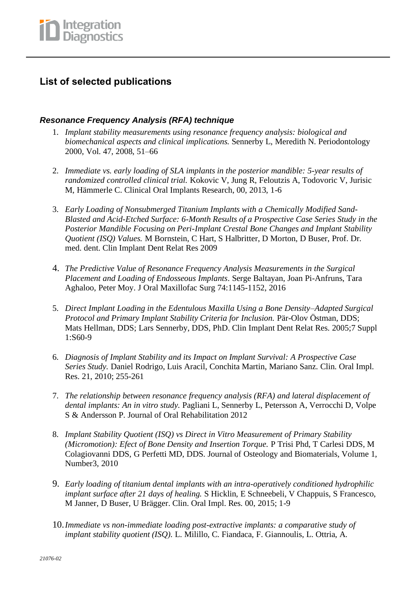## **List of selected publications**

#### *Resonance Frequency Analysis (RFA) technique*

- 1. *Implant stability measurements using resonance frequency analysis: biological and biomechanical aspects and clinical implications.* Sennerby L, Meredith N. Periodontology 2000, Vol. 47, 2008, 51–66
- 2. *Immediate vs. early loading of SLA implants in the posterior mandible: 5-year results of randomized controlled clinical trial.* Kokovic V, Jung R, Feloutzis A, Todovoric V, Jurisic M, Hämmerle C. Clinical Oral Implants Research, 00, 2013, 1-6
- 3. *Early Loading of Nonsubmerged Titanium Implants with a Chemically Modified Sand-Blasted and Acid-Etched Surface: 6-Month Results of a Prospective Case Series Study in the Posterior Mandible Focusing on Peri-Implant Crestal Bone Changes and Implant Stability Quotient (ISQ) Values.* M Bornstein, C Hart, S Halbritter, D Morton, D Buser, Prof. Dr. med. dent. Clin Implant Dent Relat Res 2009
- 4. *The Predictive Value of Resonance Frequency Analysis Measurements in the Surgical Placement and Loading of Endosseous Implants*. Serge Baltayan, Joan Pi-Anfruns, Tara Aghaloo, Peter Moy. J Oral Maxillofac Surg 74:1145-1152, 2016
- 5. *Direct Implant Loading in the Edentulous Maxilla Using a Bone Density–Adapted Surgical Protocol and Primary Implant Stability Criteria for Inclusion.* Pär-Olov Östman, DDS; Mats Hellman, DDS; Lars Sennerby, DDS, PhD. Clin Implant Dent Relat Res. 2005;7 Suppl 1:S60-9
- 6. *Diagnosis of Implant Stability and its Impact on Implant Survival: A Prospective Case Series Study.* Daniel Rodrigo, Luis Aracil, Conchita Martin, Mariano Sanz. Clin. Oral Impl. Res. 21, 2010; 255-261
- 7. *The relationship between resonance frequency analysis (RFA) and lateral displacement of dental implants: An in vitro study.* Pagliani L, Sennerby L, Petersson A, Verrocchi D, Volpe S & Andersson P. Journal of Oral Rehabilitation 2012
- 8. *Implant Stability Quotient (ISQ) vs Direct in Vitro Measurement of Primary Stability (Micromotion): Efect of Bone Density and Insertion Torque.* P Trisi Phd, T Carlesi DDS, M Colagiovanni DDS, G Perfetti MD, DDS. Journal of Osteology and Biomaterials, Volume 1, Number3, 2010
- 9. *Early loading of titanium dental implants with an intra-operatively conditioned hydrophilic implant surface after 21 days of healing.* S Hicklin, E Schneebeli, V Chappuis, S Francesco, M Janner, D Buser, U Brägger. Clin. Oral Impl. Res. 00, 2015; 1-9
- 10.*Immediate vs non-immediate loading post-extractive implants: a comparative study of implant stability quotient (ISQ).* L. Milillo, C. Fiandaca, F. Giannoulis, L. Ottria, A.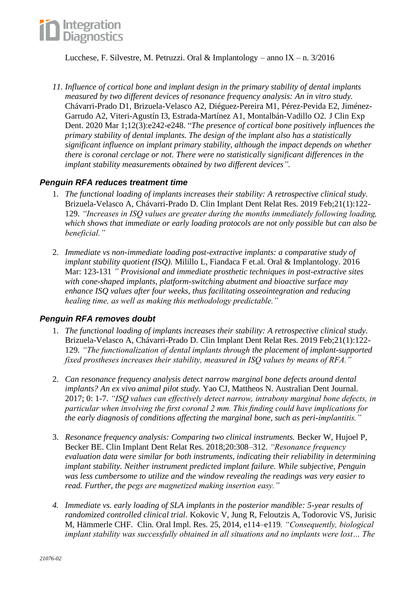

Lucchese, F. Silvestre, M. Petruzzi. Oral & Implantology – anno IX – n. 3/2016

*11. Influence of cortical bone and implant design in the primary stability of dental implants measured by two different devices of resonance frequency analysis: An in vitro study.* [Chávarri-Prado D1](https://www.ncbi.nlm.nih.gov/pubmed/?term=Ch%C3%A1varri-Prado%20D%5BAuthor%5D&cauthor=true&cauthor_uid=32190194), [Brizuela-Velasco A2](https://www.ncbi.nlm.nih.gov/pubmed/?term=Brizuela-Velasco%20A%5BAuthor%5D&cauthor=true&cauthor_uid=32190194), [Diéguez-Pereira M1](https://www.ncbi.nlm.nih.gov/pubmed/?term=Di%C3%A9guez-Pereira%20M%5BAuthor%5D&cauthor=true&cauthor_uid=32190194), [Pérez-Pevida E2](https://www.ncbi.nlm.nih.gov/pubmed/?term=P%C3%A9rez-Pevida%20E%5BAuthor%5D&cauthor=true&cauthor_uid=32190194), [Jiménez-](https://www.ncbi.nlm.nih.gov/pubmed/?term=Jim%C3%A9nez-Garrudo%20A%5BAuthor%5D&cauthor=true&cauthor_uid=32190194)[Garrudo A2](https://www.ncbi.nlm.nih.gov/pubmed/?term=Jim%C3%A9nez-Garrudo%20A%5BAuthor%5D&cauthor=true&cauthor_uid=32190194), [Viteri-Agustín I3](https://www.ncbi.nlm.nih.gov/pubmed/?term=Viteri-Agust%C3%ADn%20I%5BAuthor%5D&cauthor=true&cauthor_uid=32190194), [Estrada-Martínez A1](https://www.ncbi.nlm.nih.gov/pubmed/?term=Estrada-Mart%C3%ADnez%20A%5BAuthor%5D&cauthor=true&cauthor_uid=32190194), [Montalbán-Vadillo O2](https://www.ncbi.nlm.nih.gov/pubmed/?term=Montalb%C3%A1n-Vadillo%20O%5BAuthor%5D&cauthor=true&cauthor_uid=32190194). [J Clin Exp](https://www.ncbi.nlm.nih.gov/pubmed/32190194)  [Dent.](https://www.ncbi.nlm.nih.gov/pubmed/32190194) 2020 Mar 1;12(3):e242-e248. "*The presence of cortical bone positively influences the primary stability of dental implants. The design of the implant also has a statistically significant influence on implant primary stability, although the impact depends on whether there is coronal cerclage or not. There were no statistically significant differences in the implant stability measurements obtained by two different devices".*

#### *Penguin RFA reduces treatment time*

- 1. *The functional loading of implants increases their stability: A retrospective clinical study.* Brizuela-Velasco A, Chávarri-Prado D. Clin Implant Dent Relat Res. 2019 Feb;21(1):122- 129. *"Increases in ISQ values are greater during the months immediately following loading, which shows that immediate or early loading protocols are not only possible but can also be beneficial."*
- 2. *Immediate vs non-immediate loading post-extractive implants: a comparative study of implant stability quotient (ISQ).* Milillo L, Fiandaca F et.al. Oral & Implantology. 2016 Mar: 123-131 *" Provisional and immediate prosthetic techniques in post-extractive sites with cone-shaped implants, platform-switching abutment and bioactive surface may enhance ISQ values after four weeks, thus facilitating osseointegration and reducing healing time, as well as making this methodology predictable."*

#### *Penguin RFA removes doubt*

- 1. *The functional loading of implants increases their stability: A retrospective clinical study.* Brizuela-Velasco A, Chávarri-Prado D. Clin Implant Dent Relat Res. 2019 Feb;21(1):122- 129. *"The functionalization of dental implants through the placement of implant-supported fixed prostheses increases their stability, measured in ISQ values by means of RFA."*
- 2. *Can resonance frequency analysis detect narrow marginal bone defects around dental implants? An ex vivo animal pilot study.* Yao CJ, Mattheos N. Australian Dent Journal. 2017; 0: 1-7. *"ISQ values can effectively detect narrow, intrabony marginal bone defects, in particular when involving the first coronal 2 mm. This finding could have implications for the early diagnosis of conditions affecting the marginal bone, such as peri-implantitis."*
- 3. *Resonance frequency analysis: Comparing two clinical instruments.* Becker W, Hujoel P, Becker BE. Clin Implant Dent Relat Res. 2018;20:308–312. *"Resonance frequency evaluation data were similar for both instruments, indicating their reliability in determining implant stability. Neither instrument predicted implant failure. While subjective, Penguin was less cumbersome to utilize and the window revealing the readings was very easier to read. Further, the pegs are magnetized making insertion easy."*
- *4. Immediate vs. early loading of SLA implants in the posterior mandible: 5-year results of randomized controlled clinical trial*. Kokovic V, Jung R, Feloutzis A, Todorovic VS, Jurisic M, Hämmerle CHF. Clin. Oral Impl. Res. 25, 2014, e114–e119*. "Consequently, biological implant stability was successfully obtained in all situations and no implants were lost… The*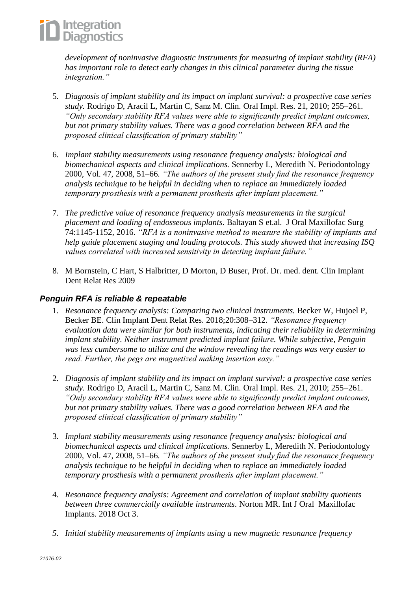

*development of noninvasive diagnostic instruments for measuring of implant stability (RFA) has important role to detect early changes in this clinical parameter during the tissue integration."*

- 5. *Diagnosis of implant stability and its impact on implant survival: a prospective case series study.* Rodrigo D, Aracil L, Martin C, Sanz M. Clin. Oral Impl. Res. 21, 2010; 255–261. *"Only secondary stability RFA values were able to significantly predict implant outcomes, but not primary stability values. There was a good correlation between RFA and the proposed clinical classification of primary stability"*
- 6. *Implant stability measurements using resonance frequency analysis: biological and biomechanical aspects and clinical implications.* Sennerby L, Meredith N. Periodontology 2000, Vol. 47, 2008, 51–66. *"The authors of the present study find the resonance frequency analysis technique to be helpful in deciding when to replace an immediately loaded temporary prosthesis with a permanent prosthesis after implant placement."*
- 7. *The predictive value of resonance frequency analysis measurements in the surgical placement and loading of endosseous implants*. Baltayan S et.al. J Oral Maxillofac Surg 74:1145-1152, 2016. *"RFA is a noninvasive method to measure the stability of implants and help guide placement staging and loading protocols. This study showed that increasing ISQ values correlated with increased sensitivity in detecting implant failure."*
- 8. M Bornstein, C Hart, S Halbritter, D Morton, D Buser, Prof. Dr. med. dent. Clin Implant Dent Relat Res 2009

#### *Penguin RFA is reliable & repeatable*

- 1. *Resonance frequency analysis: Comparing two clinical instruments.* Becker W, Hujoel P, Becker BE. Clin Implant Dent Relat Res. 2018;20:308–312. *"Resonance frequency evaluation data were similar for both instruments, indicating their reliability in determining implant stability. Neither instrument predicted implant failure. While subjective, Penguin was less cumbersome to utilize and the window revealing the readings was very easier to read. Further, the pegs are magnetized making insertion easy."*
- 2. *Diagnosis of implant stability and its impact on implant survival: a prospective case series study.* Rodrigo D, Aracil L, Martin C, Sanz M. Clin. Oral Impl. Res. 21, 2010; 255–261. *"Only secondary stability RFA values were able to significantly predict implant outcomes, but not primary stability values. There was a good correlation between RFA and the proposed clinical classification of primary stability"*
- 3. *Implant stability measurements using resonance frequency analysis: biological and biomechanical aspects and clinical implications.* Sennerby L, Meredith N. Periodontology 2000, Vol. 47, 2008, 51–66. *"The authors of the present study find the resonance frequency analysis technique to be helpful in deciding when to replace an immediately loaded temporary prosthesis with a permanent prosthesis after implant placement."*
- 4. *Resonance frequency analysis: Agreement and correlation of implant stability quotients between three commercially available instruments*. Norton MR. Int J Oral Maxillofac Implants. 2018 Oct 3.
- *5. Initial stability measurements of implants using a new magnetic resonance frequency*